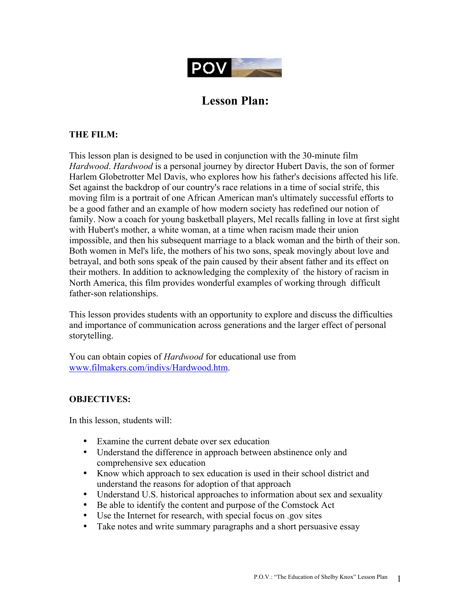

# **Lesson Plan:**

## **THE FILM:**

This lesson plan is designed to be used in conjunction with the 30-minute film *Hardwood*. *Hardwood* is a personal journey by director Hubert Davis, the son of former Harlem Globetrotter Mel Davis, who explores how his father's decisions affected his life. Set against the backdrop of our country's race relations in a time of social strife, this moving film is a portrait of one African American man's ultimately successful efforts to be a good father and an example of how modern society has redefined our notion of family. Now a coach for young basketball players, Mel recalls falling in love at first sight with Hubert's mother, a white woman, at a time when racism made their union impossible, and then his subsequent marriage to a black woman and the birth of their son. Both women in Mel's life, the mothers of his two sons, speak movingly about love and betrayal, and both sons speak of the pain caused by their absent father and its effect on their mothers. In addition to acknowledging the complexity of the history of racism in North America, this film provides wonderful examples of working through difficult father-son relationships.

This lesson provides students with an opportunity to explore and discuss the difficulties and importance of communication across generations and the larger effect of personal storytelling.

You can obtain copies of *Hardwood* for educational use from www.filmakers.com/indivs/Hardwood.htm.

## **OBJECTIVES:**

In this lesson, students will:

- Examine the current debate over sex education
- Understand the difference in approach between abstinence only and comprehensive sex education
- Know which approach to sex education is used in their school district and understand the reasons for adoption of that approach
- Understand U.S. historical approaches to information about sex and sexuality
- Be able to identify the content and purpose of the Comstock Act
- Use the Internet for research, with special focus on .gov sites
- Take notes and write summary paragraphs and a short persuasive essay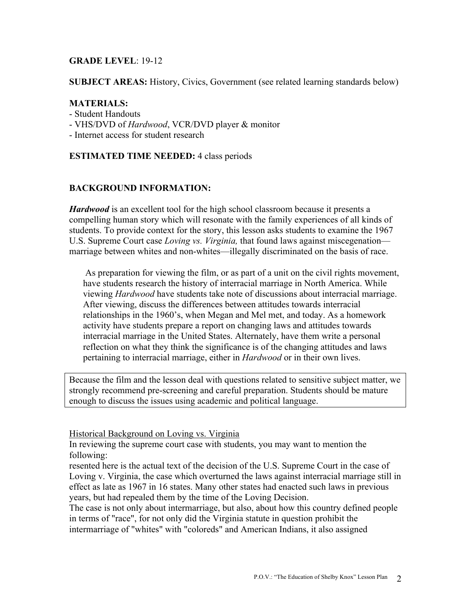## **GRADE LEVEL**: 19-12

**SUBJECT AREAS:** History, Civics, Government (see related learning standards below)

#### **MATERIALS:**

- Student Handouts
- VHS/DVD of *Hardwood*, VCR/DVD player & monitor
- Internet access for student research

### **ESTIMATED TIME NEEDED:** 4 class periods

## **BACKGROUND INFORMATION:**

*Hardwood* is an excellent tool for the high school classroom because it presents a compelling human story which will resonate with the family experiences of all kinds of students. To provide context for the story, this lesson asks students to examine the 1967 U.S. Supreme Court case *Loving vs. Virginia,* that found laws against miscegenation marriage between whites and non-whites—illegally discriminated on the basis of race.

 As preparation for viewing the film, or as part of a unit on the civil rights movement, have students research the history of interracial marriage in North America. While viewing *Hardwood* have students take note of discussions about interracial marriage. After viewing, discuss the differences between attitudes towards interracial relationships in the 1960's, when Megan and Mel met, and today. As a homework activity have students prepare a report on changing laws and attitudes towards interracial marriage in the United States. Alternately, have them write a personal reflection on what they think the significance is of the changing attitudes and laws pertaining to interracial marriage, either in *Hardwood* or in their own lives.

Because the film and the lesson deal with questions related to sensitive subject matter, we strongly recommend pre-screening and careful preparation. Students should be mature enough to discuss the issues using academic and political language.

Historical Background on Loving vs. Virginia

In reviewing the supreme court case with students, you may want to mention the following:

resented here is the actual text of the decision of the U.S. Supreme Court in the case of Loving v. Virginia, the case which overturned the laws against interracial marriage still in effect as late as 1967 in 16 states. Many other states had enacted such laws in previous years, but had repealed them by the time of the Loving Decision.

The case is not only about intermarriage, but also, about how this country defined people in terms of "race", for not only did the Virginia statute in question prohibit the intermarriage of "whites" with "coloreds" and American Indians, it also assigned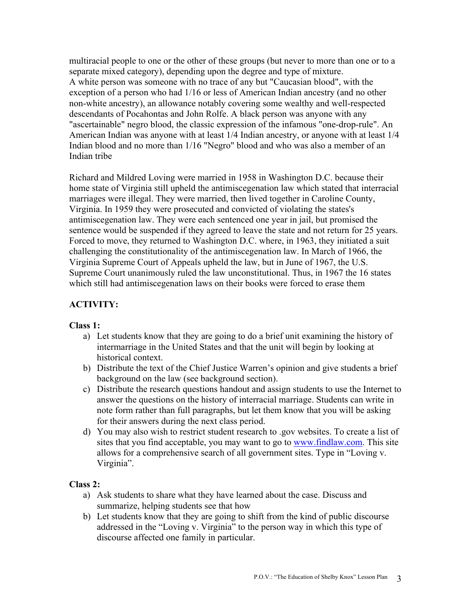multiracial people to one or the other of these groups (but never to more than one or to a separate mixed category), depending upon the degree and type of mixture. A white person was someone with no trace of any but "Caucasian blood", with the exception of a person who had 1/16 or less of American Indian ancestry (and no other non-white ancestry), an allowance notably covering some wealthy and well-respected descendants of Pocahontas and John Rolfe. A black person was anyone with any "ascertainable" negro blood, the classic expression of the infamous "one-drop-rule". An American Indian was anyone with at least 1/4 Indian ancestry, or anyone with at least 1/4 Indian blood and no more than 1/16 "Negro" blood and who was also a member of an Indian tribe

Richard and Mildred Loving were married in 1958 in Washington D.C. because their home state of Virginia still upheld the antimiscegenation law which stated that interracial marriages were illegal. They were married, then lived together in Caroline County, Virginia. In 1959 they were prosecuted and convicted of violating the states's antimiscegenation law. They were each sentenced one year in jail, but promised the sentence would be suspended if they agreed to leave the state and not return for 25 years. Forced to move, they returned to Washington D.C. where, in 1963, they initiated a suit challenging the constitutionality of the antimiscegenation law. In March of 1966, the Virginia Supreme Court of Appeals upheld the law, but in June of 1967, the U.S. Supreme Court unanimously ruled the law unconstitutional. Thus, in 1967 the 16 states which still had antimiscegenation laws on their books were forced to erase them

# **ACTIVITY:**

### **Class 1:**

- a) Let students know that they are going to do a brief unit examining the history of intermarriage in the United States and that the unit will begin by looking at historical context.
- b) Distribute the text of the Chief Justice Warren's opinion and give students a brief background on the law (see background section).
- c) Distribute the research questions handout and assign students to use the Internet to answer the questions on the history of interracial marriage. Students can write in note form rather than full paragraphs, but let them know that you will be asking for their answers during the next class period.
- d) You may also wish to restrict student research to .gov websites. To create a list of sites that you find acceptable, you may want to go to www.findlaw.com. This site allows for a comprehensive search of all government sites. Type in "Loving v. Virginia".

### **Class 2:**

- a) Ask students to share what they have learned about the case. Discuss and summarize, helping students see that how
- b) Let students know that they are going to shift from the kind of public discourse addressed in the "Loving v. Virginia" to the person way in which this type of discourse affected one family in particular.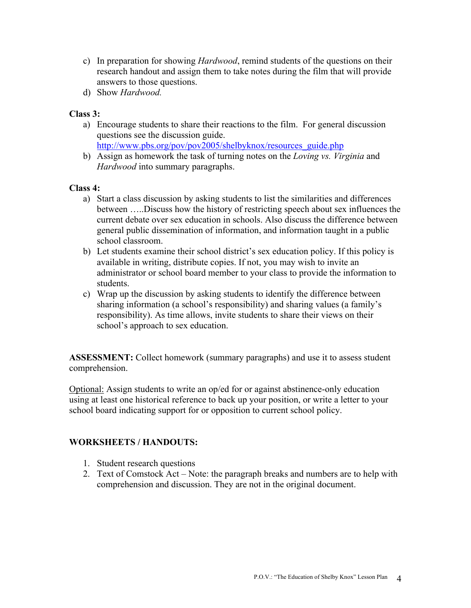- c) In preparation for showing *Hardwood*, remind students of the questions on their research handout and assign them to take notes during the film that will provide answers to those questions.
- d) Show *Hardwood.*

## **Class 3:**

- a) Encourage students to share their reactions to the film. For general discussion questions see the discussion guide. http://www.pbs.org/pov/pov2005/shelbyknox/resources\_guide.php
- b) Assign as homework the task of turning notes on the *Loving vs. Virginia* and *Hardwood* into summary paragraphs.

### **Class 4:**

- a) Start a class discussion by asking students to list the similarities and differences between …..Discuss how the history of restricting speech about sex influences the current debate over sex education in schools. Also discuss the difference between general public dissemination of information, and information taught in a public school classroom.
- b) Let students examine their school district's sex education policy. If this policy is available in writing, distribute copies. If not, you may wish to invite an administrator or school board member to your class to provide the information to students.
- c) Wrap up the discussion by asking students to identify the difference between sharing information (a school's responsibility) and sharing values (a family's responsibility). As time allows, invite students to share their views on their school's approach to sex education.

**ASSESSMENT:** Collect homework (summary paragraphs) and use it to assess student comprehension.

Optional: Assign students to write an op/ed for or against abstinence-only education using at least one historical reference to back up your position, or write a letter to your school board indicating support for or opposition to current school policy.

### **WORKSHEETS / HANDOUTS:**

- 1. Student research questions
- 2. Text of Comstock Act Note: the paragraph breaks and numbers are to help with comprehension and discussion. They are not in the original document.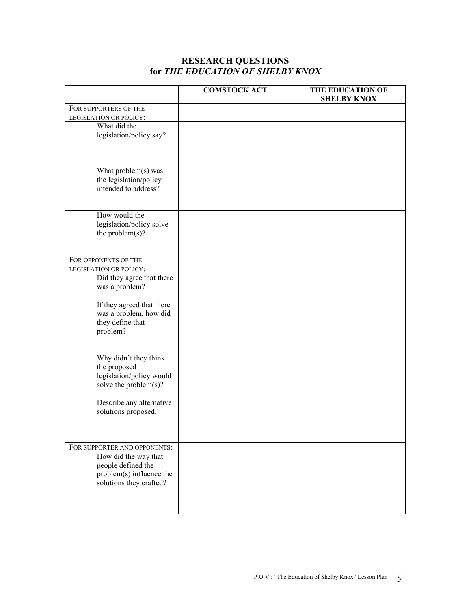#### **RESEARCH QUESTIONS for** *THE EDUCATION OF SHELBY KNOX*

|                                                                                     | <b>COMSTOCK ACT</b> | THE EDUCATION OF<br><b>SHELBY KNOX</b> |
|-------------------------------------------------------------------------------------|---------------------|----------------------------------------|
| FOR SUPPORTERS OF THE                                                               |                     |                                        |
| LEGISLATION OR POLICY:                                                              |                     |                                        |
| What did the<br>legislation/policy say?                                             |                     |                                        |
| What problem(s) was                                                                 |                     |                                        |
| the legislation/policy<br>intended to address?                                      |                     |                                        |
| How would the                                                                       |                     |                                        |
| legislation/policy solve<br>the problem $(s)$ ?                                     |                     |                                        |
| FOR OPPONENTS OF THE                                                                |                     |                                        |
| LEGISLATION OR POLICY:                                                              |                     |                                        |
| Did they agree that there<br>was a problem?                                         |                     |                                        |
| If they agreed that there<br>was a problem, how did<br>they define that<br>problem? |                     |                                        |
| Why didn't they think                                                               |                     |                                        |
| the proposed<br>legislation/policy would<br>solve the problem(s)?                   |                     |                                        |
| Describe any alternative<br>solutions proposed.                                     |                     |                                        |
|                                                                                     |                     |                                        |
| FOR SUPPORTER AND OPPONENTS:                                                        |                     |                                        |
| How did the way that<br>people defined the<br>problem(s) influence the              |                     |                                        |
| solutions they crafted?                                                             |                     |                                        |
|                                                                                     |                     |                                        |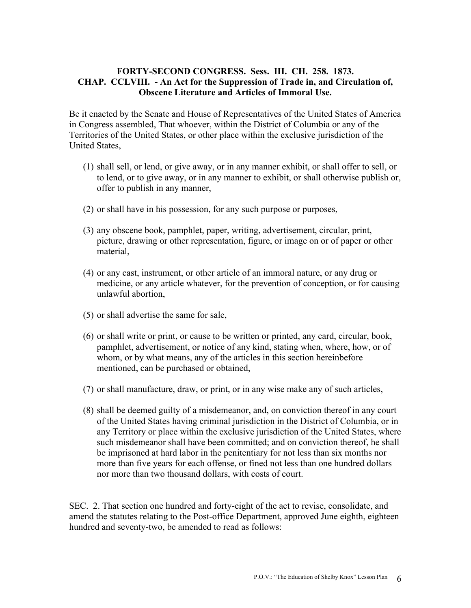## **FORTY-SECOND CONGRESS. Sess. III. CH. 258. 1873. CHAP. CCLVIII. - An Act for the Suppression of Trade in, and Circulation of, Obscene Literature and Articles of Immoral Use.**

Be it enacted by the Senate and House of Representatives of the United States of America in Congress assembled, That whoever, within the District of Columbia or any of the Territories of the United States, or other place within the exclusive jurisdiction of the United States,

- (1) shall sell, or lend, or give away, or in any manner exhibit, or shall offer to sell, or to lend, or to give away, or in any manner to exhibit, or shall otherwise publish or, offer to publish in any manner,
- (2) or shall have in his possession, for any such purpose or purposes,
- (3) any obscene book, pamphlet, paper, writing, advertisement, circular, print, picture, drawing or other representation, figure, or image on or of paper or other material,
- (4) or any cast, instrument, or other article of an immoral nature, or any drug or medicine, or any article whatever, for the prevention of conception, or for causing unlawful abortion,
- (5) or shall advertise the same for sale,
- (6) or shall write or print, or cause to be written or printed, any card, circular, book, pamphlet, advertisement, or notice of any kind, stating when, where, how, or of whom, or by what means, any of the articles in this section hereinbefore mentioned, can be purchased or obtained,
- (7) or shall manufacture, draw, or print, or in any wise make any of such articles,
- (8) shall be deemed guilty of a misdemeanor, and, on conviction thereof in any court of the United States having criminal jurisdiction in the District of Columbia, or in any Territory or place within the exclusive jurisdiction of the United States, where such misdemeanor shall have been committed; and on conviction thereof, he shall be imprisoned at hard labor in the penitentiary for not less than six months nor more than five years for each offense, or fined not less than one hundred dollars nor more than two thousand dollars, with costs of court.

SEC. 2. That section one hundred and forty-eight of the act to revise, consolidate, and amend the statutes relating to the Post-office Department, approved June eighth, eighteen hundred and seventy-two, be amended to read as follows: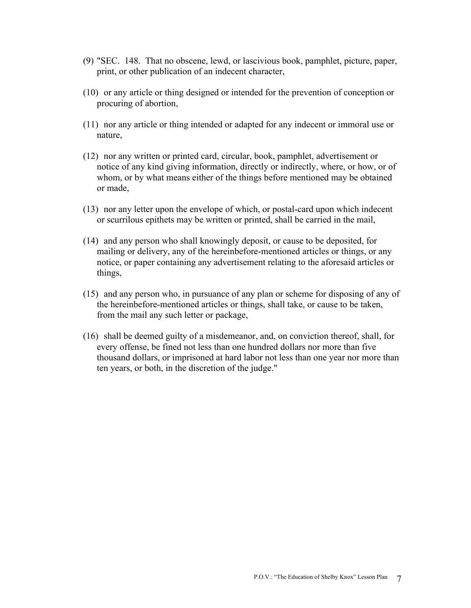- (9) "SEC. 148. That no obscene, lewd, or lascivious book, pamphlet, picture, paper, print, or other publication of an indecent character,
- (10) or any article or thing designed or intended for the prevention of conception or procuring of abortion,
- (11) nor any article or thing intended or adapted for any indecent or immoral use or nature,
- (12) nor any written or printed card, circular, book, pamphlet, advertisement or notice of any kind giving information, directly or indirectly, where, or how, or of whom, or by what means either of the things before mentioned may be obtained or made,
- (13) nor any letter upon the envelope of which, or postal-card upon which indecent or scurrilous epithets may be written or printed, shall be carried in the mail,
- (14) and any person who shall knowingly deposit, or cause to be deposited, for mailing or delivery, any of the hereinbefore-mentioned articles or things, or any notice, or paper containing any advertisement relating to the aforesaid articles or things,
- (15) and any person who, in pursuance of any plan or scheme for disposing of any of the hereinbefore-mentioned articles or things, shall take, or cause to be taken, from the mail any such letter or package,
- (16) shall be deemed guilty of a misdemeanor, and, on conviction thereof, shall, for every offense, be fined not less than one hundred dollars nor more than five thousand dollars, or imprisoned at hard labor not less than one year nor more than ten years, or both, in the discretion of the judge."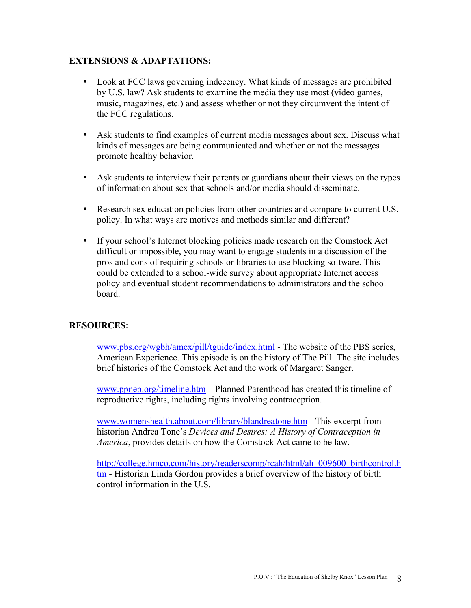## **EXTENSIONS & ADAPTATIONS:**

- Look at FCC laws governing indecency. What kinds of messages are prohibited by U.S. law? Ask students to examine the media they use most (video games, music, magazines, etc.) and assess whether or not they circumvent the intent of the FCC regulations.
- Ask students to find examples of current media messages about sex. Discuss what kinds of messages are being communicated and whether or not the messages promote healthy behavior.
- Ask students to interview their parents or guardians about their views on the types of information about sex that schools and/or media should disseminate.
- Research sex education policies from other countries and compare to current U.S. policy. In what ways are motives and methods similar and different?
- If your school's Internet blocking policies made research on the Comstock Act difficult or impossible, you may want to engage students in a discussion of the pros and cons of requiring schools or libraries to use blocking software. This could be extended to a school-wide survey about appropriate Internet access policy and eventual student recommendations to administrators and the school board.

## **RESOURCES:**

www.pbs.org/wgbh/amex/pill/tguide/index.html - The website of the PBS series, American Experience. This episode is on the history of The Pill. The site includes brief histories of the Comstock Act and the work of Margaret Sanger.

www.ppnep.org/timeline.htm – Planned Parenthood has created this timeline of reproductive rights, including rights involving contraception.

www.womenshealth.about.com/library/blandreatone.htm - This excerpt from historian Andrea Tone's *Devices and Desires: A History of Contraception in America*, provides details on how the Comstock Act came to be law.

http://college.hmco.com/history/readerscomp/rcah/html/ah\_009600\_birthcontrol.h tm - Historian Linda Gordon provides a brief overview of the history of birth control information in the U.S.